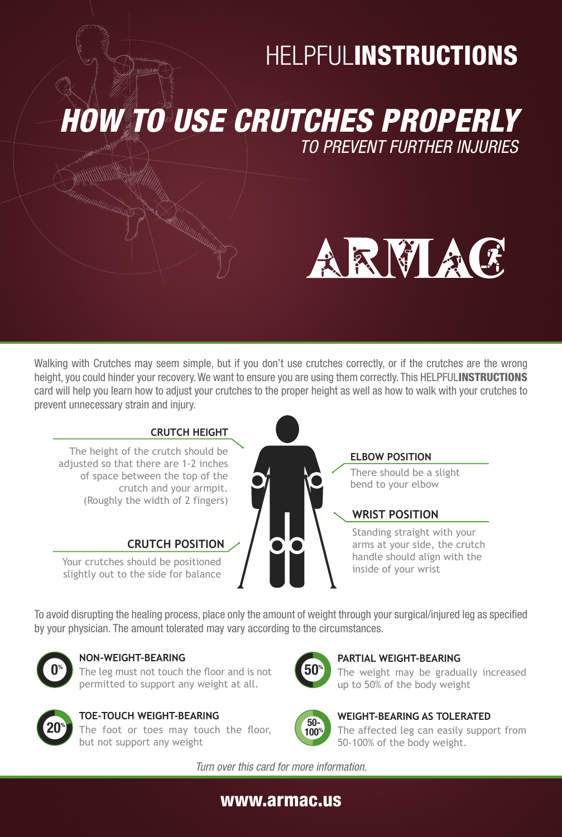# **HELPFULINSTRUCTIONS**

*HOW TO USE CRUTCHES PROPERLY*

*TO PREVENT FURTHER INJURIES*



Walking with Crutches may seem simple, but if you don't use crutches correctly, or if the crutches are the wrong height, you could hinder your recovery. We want to ensure you are using them correctly. This HELPFULINSTRUCTIONS card will help you learn how to adjust your crutches to the proper height as well as how to walk with your crutches to prevent unnecessary strain and injury.



### **ELBOW POSITION**

There should be a slight bend to your elbow

### **WRIST POSITION**

Standing straight with your arms at your side, the crutch handle should align with the inside of your wrist

To avoid disrupting the healing process, place only the amount of weight through your surgical/injured leg as specified by your physician. The amount tolerated may vary according to the circumstances.



### **NON-WEIGHT-BEARING**

Your crutches should be positioned slightly out to the side for balance

> The leg must not touch the floor and is not permitted to support any weight at all.



#### **TOE-TOUCH WEIGHT-BEARING** The foot or toes may touch the floor, but not support any weight



### **PARTIAL WEIGHT-BEARING**

The weight may be gradually increased up to 50% of the body weight



### **WEIGHT-BEARING AS TOLERATED**

The affected leg can easily support from 50-100% of the body weight.

*Turn over this card for more information.*

# www.armac.us